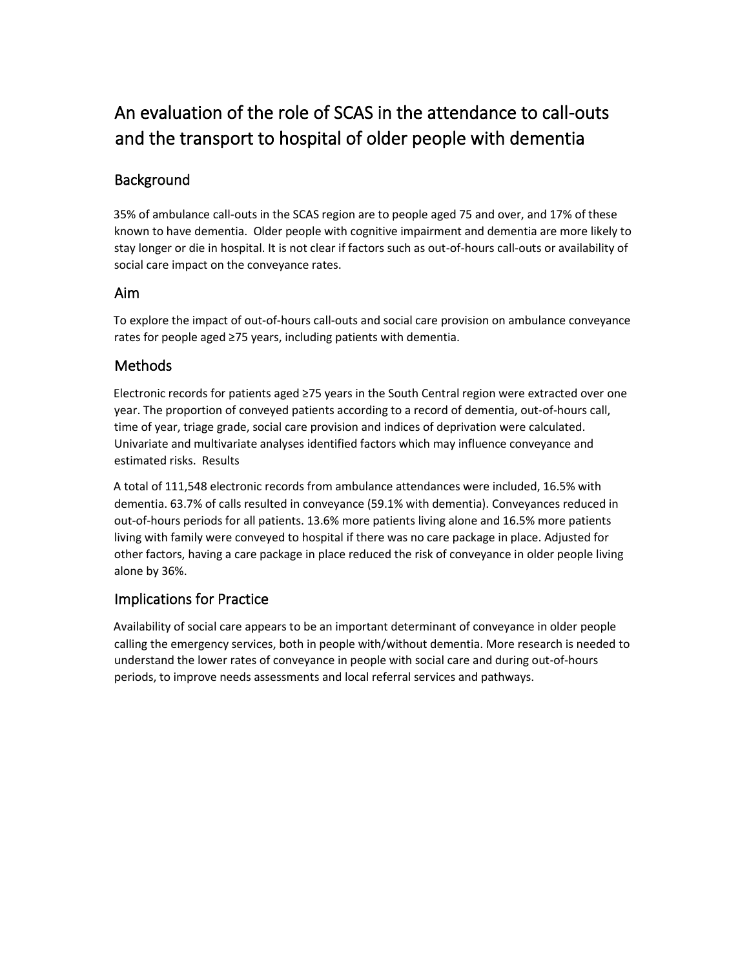# An evaluation of the role of SCAS in the attendance to call-outs and the transport to hospital of older people with dementia

## **Background**

35% of ambulance call-outs in the SCAS region are to people aged 75 and over, and 17% of these known to have dementia. Older people with cognitive impairment and dementia are more likely to stay longer or die in hospital. It is not clear if factors such as out-of-hours call-outs or availability of social care impact on the conveyance rates.

#### Aim

To explore the impact of out-of-hours call-outs and social care provision on ambulance conveyance rates for people aged ≥75 years, including patients with dementia.

## Methods

Electronic records for patients aged ≥75 years in the South Central region were extracted over one year. The proportion of conveyed patients according to a record of dementia, out-of-hours call, time of year, triage grade, social care provision and indices of deprivation were calculated. Univariate and multivariate analyses identified factors which may influence conveyance and estimated risks. Results

A total of 111,548 electronic records from ambulance attendances were included, 16.5% with dementia. 63.7% of calls resulted in conveyance (59.1% with dementia). Conveyances reduced in out-of-hours periods for all patients. 13.6% more patients living alone and 16.5% more patients living with family were conveyed to hospital if there was no care package in place. Adjusted for other factors, having a care package in place reduced the risk of conveyance in older people living alone by 36%.

## Implications for Practice

Availability of social care appears to be an important determinant of conveyance in older people calling the emergency services, both in people with/without dementia. More research is needed to understand the lower rates of conveyance in people with social care and during out-of-hours periods, to improve needs assessments and local referral services and pathways.